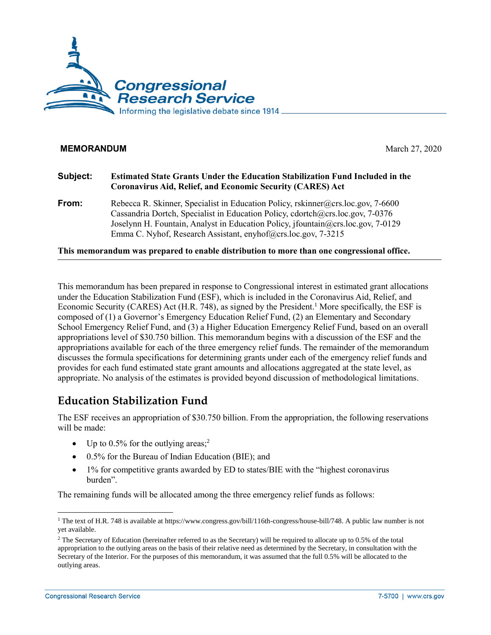

#### **MEMORANDUM** March 27, 2020

#### **Subject: Estimated State Grants Under the Education Stabilization Fund Included in the Coronavirus Aid, Relief, and Economic Security (CARES) Act**

**From:** Rebecca R. Skinner, Specialist in Education Policy, [rskinner@crs.loc.gov,](mailto:rskinner@crs.loc.gov) 7-6600 Cassandria Dortch, Specialist in Education Policy, [cdortch@crs.loc.gov,](mailto:cdortch@crs.loc.gov) 7-0376 Joselynn H. Fountain, Analyst in Education Policy, [jfountain@crs.loc.gov,](mailto:jfountain@crs.loc.gov) 7-0129 Emma C. Nyhof, Research Assistant, [enyhof@crs.loc.gov,](mailto:enyhof@crs.loc.gov) 7-3215

**This memorandum was prepared to enable distribution to more than one congressional office.**

This memorandum has been prepared in response to Congressional interest in estimated grant allocations under the Education Stabilization Fund (ESF), which is included in the Coronavirus Aid, Relief, and Economic Security (CARES) Act (H.R. 748), as signed by the President.<sup>1</sup> More specifically, the ESF is composed of (1) a Governor's Emergency Education Relief Fund, (2) an Elementary and Secondary School Emergency Relief Fund, and (3) a Higher Education Emergency Relief Fund, based on an overall appropriations level of \$30.750 billion. This memorandum begins with a discussion of the ESF and the appropriations available for each of the three emergency relief funds. The remainder of the memorandum discusses the formula specifications for determining grants under each of the emergency relief funds and provides for each fund estimated state grant amounts and allocations aggregated at the state level, as appropriate. No analysis of the estimates is provided beyond discussion of methodological limitations.

# **Education Stabilization Fund**

The ESF receives an appropriation of \$30.750 billion. From the appropriation, the following reservations will be made:

- Up to  $0.5\%$  for the outlying areas;<sup>2</sup>
- 0.5% for the Bureau of Indian Education (BIE); and
- 1% for competitive grants awarded by ED to states/BIE with the "highest coronavirus burden".

The remaining funds will be allocated among the three emergency relief funds as follows:

 $\overline{a}$ 

<sup>1</sup> The text of H.R. 748 is available a[t https://www.congress.gov/bill/116th-congress/house-bill/748.](https://www.congress.gov/bill/116th-congress/house-bill/748) A public law number is not yet available.

<sup>&</sup>lt;sup>2</sup> The Secretary of Education (hereinafter referred to as the Secretary) will be required to allocate up to 0.5% of the total appropriation to the outlying areas on the basis of their relative need as determined by the Secretary, in consultation with the Secretary of the Interior. For the purposes of this memorandum, it was assumed that the full 0.5% will be allocated to the outlying areas.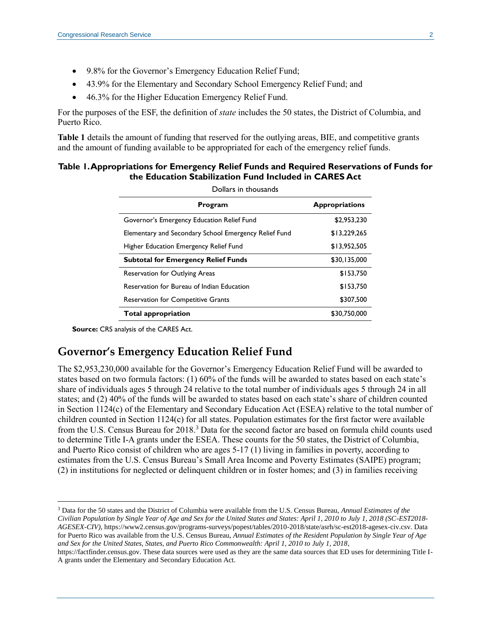- 9.8% for the Governor's Emergency Education Relief Fund;
- 43.9% for the Elementary and Secondary School Emergency Relief Fund; and
- 46.3% for the Higher Education Emergency Relief Fund.

For the purposes of the ESF, the definition of *state* includes the 50 states, the District of Columbia, and Puerto Rico.

**Table 1** details the amount of funding that reserved for the outlying areas, BIE, and competitive grants and the amount of funding available to be appropriated for each of the emergency relief funds.

#### **Table 1. Appropriations for Emergency Relief Funds and Required Reservations of Funds for the Education Stabilization Fund Included in CARES Act**

| Dollars in thousands                                  |                       |  |
|-------------------------------------------------------|-----------------------|--|
| Program                                               | <b>Appropriations</b> |  |
| Governor's Emergency Education Relief Fund            | \$2,953,230           |  |
| Elementary and Secondary School Emergency Relief Fund | \$13.229.265          |  |
| Higher Education Emergency Relief Fund                | \$13,952,505          |  |
| <b>Subtotal for Emergency Relief Funds</b>            | \$30,135,000          |  |
| <b>Reservation for Outlying Areas</b>                 | \$153,750             |  |
| Reservation for Bureau of Indian Education            | \$153,750             |  |
| <b>Reservation for Competitive Grants</b>             | \$307,500             |  |
| <b>Total appropriation</b>                            | \$30,750,000          |  |

**Source:** CRS analysis of the CARES Act.

 $\overline{a}$ 

## **Governor's Emergency Education Relief Fund**

The \$2,953,230,000 available for the Governor's Emergency Education Relief Fund will be awarded to states based on two formula factors: (1) 60% of the funds will be awarded to states based on each state's share of individuals ages 5 through 24 relative to the total number of individuals ages 5 through 24 in all states; and (2) 40% of the funds will be awarded to states based on each state's share of children counted in Section 1124(c) of the Elementary and Secondary Education Act (ESEA) relative to the total number of children counted in Section 1124(c) for all states. Population estimates for the first factor were available from the U.S. Census Bureau for 2018.<sup>3</sup> Data for the second factor are based on formula child counts used to determine Title I-A grants under the ESEA. These counts for the 50 states, the District of Columbia, and Puerto Rico consist of children who are ages 5-17 (1) living in families in poverty, according to estimates from the U.S. Census Bureau's Small Area Income and Poverty Estimates (SAIPE) program; (2) in institutions for neglected or delinquent children or in foster homes; and (3) in families receiving

<sup>3</sup> Data for the 50 states and the District of Columbia were available from the U.S. Census Bureau, *Annual Estimates of the Civilian Population by Single Year of Age and Sex for the United States and States: April 1, 2010 to July 1, 2018 (SC-EST2018- AGESEX-CIV)*, [https://www2.census.gov/programs-surveys/popest/tables/2010-2018/state/asrh/sc-est2018-agesex-civ.csv.](https://www2.census.gov/programs-surveys/popest/tables/2010-2018/state/asrh/sc-est2018-agesex-civ.csv) Data for Puerto Rico was available from the U.S. Census Bureau, *Annual Estimates of the Resident Population by Single Year of Age and Sex for the United States, States, and Puerto Rico Commonwealth: April 1, 2010 to July 1, 2018*,

[https://factfinder.census.gov.](https://factfinder.census.gov/) These data sources were used as they are the same data sources that ED uses for determining Title I-A grants under the Elementary and Secondary Education Act.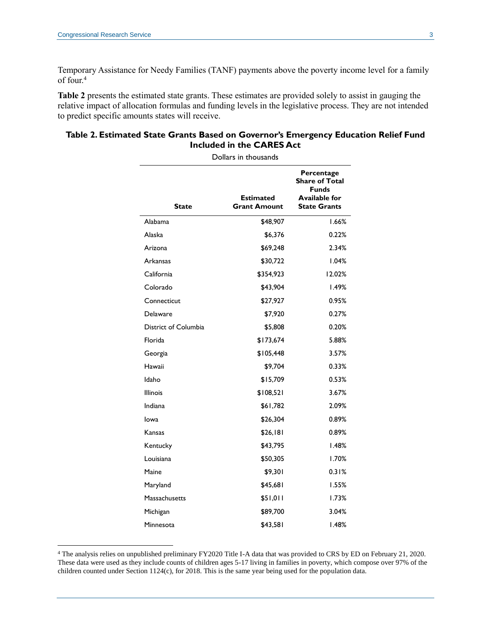Temporary Assistance for Needy Families (TANF) payments above the poverty income level for a family of four.<sup>4</sup>

**Table 2** presents the estimated state grants. These estimates are provided solely to assist in gauging the relative impact of allocation formulas and funding levels in the legislative process. They are not intended to predict specific amounts states will receive.

#### **Table 2. Estimated State Grants Based on Governor's Emergency Education Relief Fund Included in the CARES Act**

| Dollars in thousands |                                         |                                                                                             |  |
|----------------------|-----------------------------------------|---------------------------------------------------------------------------------------------|--|
| <b>State</b>         | <b>Estimated</b><br><b>Grant Amount</b> | Percentage<br><b>Share of Total</b><br><b>Funds</b><br>Available for<br><b>State Grants</b> |  |
| Alabama              | \$48,907                                | 1.66%                                                                                       |  |
| Alaska               | \$6,376                                 | 0.22%                                                                                       |  |
| Arizona              | \$69,248                                | 2.34%                                                                                       |  |
| Arkansas             | \$30,722                                | 1.04%                                                                                       |  |
| California           | \$354,923                               | 12.02%                                                                                      |  |
| Colorado             | \$43,904                                | 1.49%                                                                                       |  |
| Connecticut          | \$27,927                                | 0.95%                                                                                       |  |
| Delaware             | \$7,920                                 | 0.27%                                                                                       |  |
| District of Columbia | \$5,808                                 | 0.20%                                                                                       |  |
| Florida              | \$173,674                               | 5.88%                                                                                       |  |
| Georgia              | \$105,448                               | 3.57%                                                                                       |  |
| Hawaii               | \$9,704                                 | 0.33%                                                                                       |  |
| Idaho                | \$15,709                                | 0.53%                                                                                       |  |
| <b>Illinois</b>      | \$108,521                               | 3.67%                                                                                       |  |
| Indiana              | \$61,782                                | 2.09%                                                                                       |  |
| lowa                 | \$26,304                                | 0.89%                                                                                       |  |
| Kansas               | \$26,181                                | $0.89\%$                                                                                    |  |
| Kentucky             | \$43,795                                | <b>1.48%</b>                                                                                |  |
| Louisiana            | \$50,305                                | 1.70%                                                                                       |  |
| Maine                | \$9,301                                 | 0.31%                                                                                       |  |
| Maryland             | \$45,681                                | 1.55%                                                                                       |  |
| Massachusetts        | \$51,011                                | 1.73%                                                                                       |  |
| Michigan             | \$89,700                                | 3.04%                                                                                       |  |
| Minnesota            | \$43,581                                | 1.48%                                                                                       |  |

<sup>4</sup> The analysis relies on unpublished preliminary FY2020 Title I-A data that was provided to CRS by ED on February 21, 2020. These data were used as they include counts of children ages 5-17 living in families in poverty, which compose over 97% of the children counted under Section 1124(c), for 2018. This is the same year being used for the population data.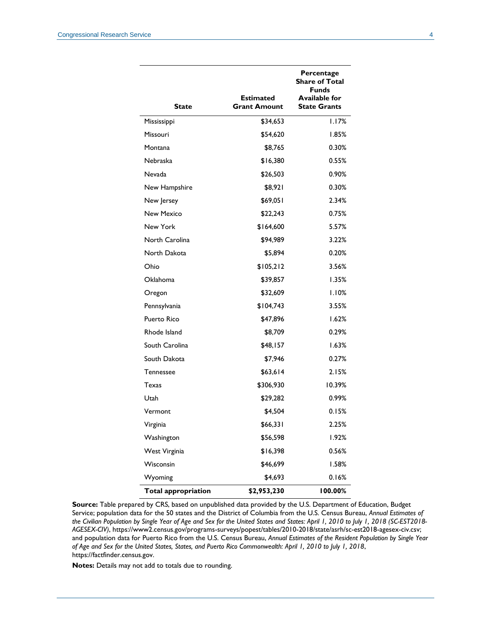| State                      | Estimated<br><b>Grant Amount</b> | Percentage<br><b>Share of Total</b><br><b>Funds</b><br><b>Available for</b><br><b>State Grants</b> |
|----------------------------|----------------------------------|----------------------------------------------------------------------------------------------------|
| Mississippi                | \$34,653                         | 1.17%                                                                                              |
| Missouri                   | \$54,620                         | 1.85%                                                                                              |
| Montana                    | \$8,765                          | 0.30%                                                                                              |
| Nebraska                   | \$16,380                         | 0.55%                                                                                              |
| Nevada                     | \$26,503                         | 0.90%                                                                                              |
| New Hampshire              | \$8,921                          | 0.30%                                                                                              |
| New Jersey                 | \$69,051                         | 2.34%                                                                                              |
| New Mexico                 | \$22,243                         | 0.75%                                                                                              |
| New York                   | \$164,600                        | 5.57%                                                                                              |
| North Carolina             | \$94,989                         | 3.22%                                                                                              |
| North Dakota               | \$5,894                          | 0.20%                                                                                              |
| Ohio                       | \$105,212                        | 3.56%                                                                                              |
| Oklahoma                   | \$39,857                         | 1.35%                                                                                              |
| Oregon                     | \$32,609                         | 1.10%                                                                                              |
| Pennsylvania               | \$104,743                        | 3.55%                                                                                              |
| <b>Puerto Rico</b>         | \$47,896                         | 1.62%                                                                                              |
| Rhode Island               | \$8,709                          | 0.29%                                                                                              |
| South Carolina             | \$48,157                         | 1.63%                                                                                              |
| South Dakota               | \$7,946                          | 0.27%                                                                                              |
| Tennessee                  | \$63,614                         | 2.15%                                                                                              |
| Texas                      | \$306,930                        | 10.39%                                                                                             |
| Utah                       | \$29,282                         | 0.99%                                                                                              |
| Vermont                    | \$4,504                          | 0.15%                                                                                              |
| Virginia                   | \$66,33 I                        | 2.25%                                                                                              |
| Washington                 | \$56,598                         | 1.92%                                                                                              |
| West Virginia              | \$16,398                         | 0.56%                                                                                              |
| Wisconsin                  | \$46,699                         | 1.58%                                                                                              |
| Wyoming                    | \$4,693                          | 0.16%                                                                                              |
| <b>Total appropriation</b> | \$2,953,230                      | 100.00%                                                                                            |

**Source:** Table prepared by CRS, based on unpublished data provided by the U.S. Department of Education, Budget Service; population data for the 50 states and the District of Columbia from the U.S. Census Bureau, *Annual Estimates of the Civilian Population by Single Year of Age and Sex for the United States and States: April 1, 2010 to July 1, 2018 (SC-EST2018- AGESEX-CIV)*, [https://www2.census.gov/programs-surveys/popest/tables/2010-2018/state/asrh/sc-est2018-agesex-civ.csv;](https://www2.census.gov/programs-surveys/popest/tables/2010-2018/state/asrh/sc-est2018-agesex-civ.csv)  and population data for Puerto Rico from the U.S. Census Bureau, *Annual Estimates of the Resident Population by Single Year of Age and Sex for the United States, States, and Puerto Rico Commonwealth: April 1, 2010 to July 1, 2018*, [https://factfinder.census.gov.](https://factfinder.census.gov/)

**Notes:** Details may not add to totals due to rounding.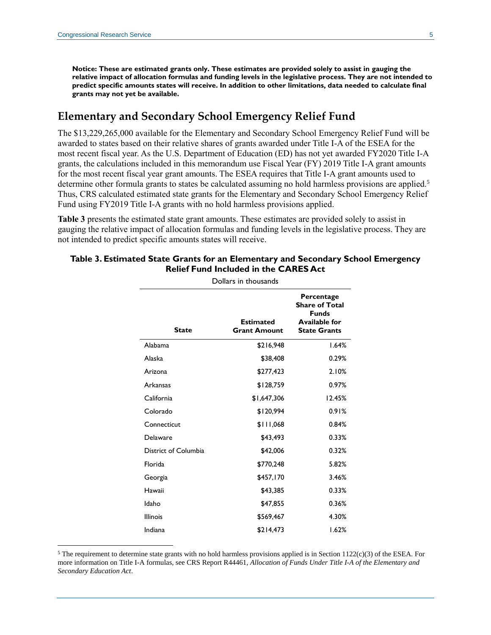**Notice: These are estimated grants only. These estimates are provided solely to assist in gauging the relative impact of allocation formulas and funding levels in the legislative process. They are not intended to predict specific amounts states will receive. In addition to other limitations, data needed to calculate final grants may not yet be available.**

### **Elementary and Secondary School Emergency Relief Fund**

The \$13,229,265,000 available for the Elementary and Secondary School Emergency Relief Fund will be awarded to states based on their relative shares of grants awarded under Title I-A of the ESEA for the most recent fiscal year. As the U.S. Department of Education (ED) has not yet awarded FY2020 Title I-A grants, the calculations included in this memorandum use Fiscal Year (FY) 2019 Title I-A grant amounts for the most recent fiscal year grant amounts. The ESEA requires that Title I-A grant amounts used to determine other formula grants to states be calculated assuming no hold harmless provisions are applied.<sup>5</sup> Thus, CRS calculated estimated state grants for the Elementary and Secondary School Emergency Relief Fund using FY2019 Title I-A grants with no hold harmless provisions applied.

**Table 3** presents the estimated state grant amounts. These estimates are provided solely to assist in gauging the relative impact of allocation formulas and funding levels in the legislative process. They are not intended to predict specific amounts states will receive.

| Dollars in thousands |                                         |                                                                                                    |  |
|----------------------|-----------------------------------------|----------------------------------------------------------------------------------------------------|--|
| <b>State</b>         | <b>Estimated</b><br><b>Grant Amount</b> | Percentage<br><b>Share of Total</b><br><b>Funds</b><br><b>Available for</b><br><b>State Grants</b> |  |
| Alabama              | \$216,948                               | 1.64%                                                                                              |  |
| Alaska               | \$38,408                                | 0.29%                                                                                              |  |
| Arizona              | \$277,423                               | 2.10%                                                                                              |  |
| Arkansas             | \$128,759                               | 0.97%                                                                                              |  |
| California           | \$1,647,306                             | 12.45%                                                                                             |  |
| Colorado             | \$120,994                               | 0.91%                                                                                              |  |
| Connecticut          | \$111,068                               | 0.84%                                                                                              |  |
| Delaware             | \$43,493                                | 0.33%                                                                                              |  |
| District of Columbia | \$42,006                                | 0.32%                                                                                              |  |
| Florida              | \$770,248                               | 5.82%                                                                                              |  |
| Georgia              | \$457,170                               | 3.46%                                                                                              |  |
| Hawaii               | \$43,385                                | 0.33%                                                                                              |  |
| Idaho                | \$47,855                                | 0.36%                                                                                              |  |
| <b>Illinois</b>      | \$569,467                               | 4.30%                                                                                              |  |
| Indiana              | \$214,473                               | 1.62%                                                                                              |  |

#### **Table 3. Estimated State Grants for an Elementary and Secondary School Emergency Relief Fund Included in the CARES Act**

<sup>&</sup>lt;sup>5</sup> The requirement to determine state grants with no hold harmless provisions applied is in Section 1122(c)(3) of the ESEA. For more information on Title I-A formulas, see CRS Report R44461, *[Allocation of Funds Under Title I-A of the Elementary and](http://www.crs.gov/Reports/R44461)  [Secondary Education Act](http://www.crs.gov/Reports/R44461)*.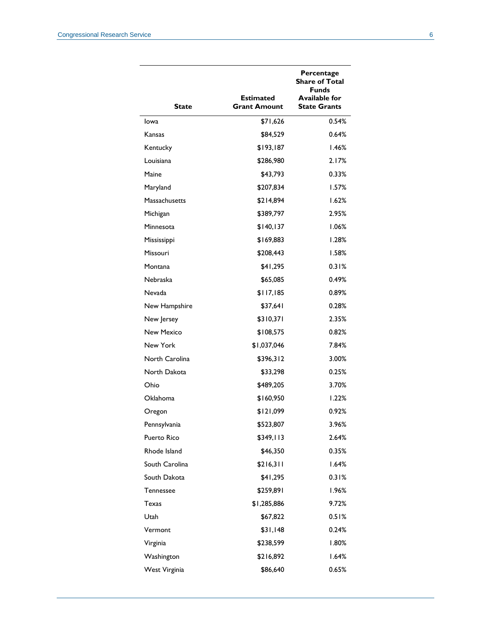| State             | Estimated<br><b>Grant Amount</b> | Percentage<br><b>Share of Total</b><br><b>Funds</b><br><b>Available for</b><br><b>State Grants</b> |
|-------------------|----------------------------------|----------------------------------------------------------------------------------------------------|
| lowa              | \$71,626                         | 0.54%                                                                                              |
| Kansas            | \$84,529                         | 0.64%                                                                                              |
| Kentucky          | \$193.187                        | 1.46%                                                                                              |
| Louisiana         | \$286,980                        | 2.17%                                                                                              |
| Maine             | \$43,793                         | 0.33%                                                                                              |
| Maryland          | \$207,834                        | 1.57%                                                                                              |
| Massachusetts     | \$214,894                        | 1.62%                                                                                              |
| Michigan          | \$389,797                        | 2.95%                                                                                              |
| Minnesota         | \$140, 137                       | 1.06%                                                                                              |
| Mississippi       | \$169,883                        | 1.28%                                                                                              |
| Missouri          | \$208,443                        | 1.58%                                                                                              |
| Montana           | \$41,295                         | 0.31%                                                                                              |
| Nebraska          | \$65,085                         | $0.49\%$                                                                                           |
| Nevada            | \$117,185                        | 0.89%                                                                                              |
| New Hampshire     | \$37,641                         | 0.28%                                                                                              |
| New Jersey        | \$310,371                        | 2.35%                                                                                              |
| <b>New Mexico</b> | \$108,575                        | 0.82%                                                                                              |
| New York          | \$1,037,046                      | 7.84%                                                                                              |
| North Carolina    | \$396,312                        | 3.00%                                                                                              |
| North Dakota      | \$33,298                         | 0.25%                                                                                              |
| Ohio              | \$489,205                        | 3.70%                                                                                              |
| Oklahoma          | \$160,950                        | 1.22%                                                                                              |
| Oregon            | \$121,099                        | 0.92%                                                                                              |
| Pennsylvania      | \$523,807                        | 3.96%                                                                                              |
| Puerto Rico       | \$349,113                        | 2.64%                                                                                              |
| Rhode Island      | \$46,350                         | 0.35%                                                                                              |
| South Carolina    | \$216,311                        | 1.64%                                                                                              |
| South Dakota      | \$41,295                         | 0.31%                                                                                              |
| Tennessee         | \$259,891                        | 1.96%                                                                                              |
| Texas             | \$1,285,886                      | 9.72%                                                                                              |
| Utah              | \$67,822                         | 0.51%                                                                                              |
| Vermont           | \$31,148                         | 0.24%                                                                                              |
| Virginia          | \$238,599                        | 1.80%                                                                                              |
| Washington        | \$216,892                        | 1.64%                                                                                              |
| West Virginia     | \$86,640                         | 0.65%                                                                                              |
|                   |                                  |                                                                                                    |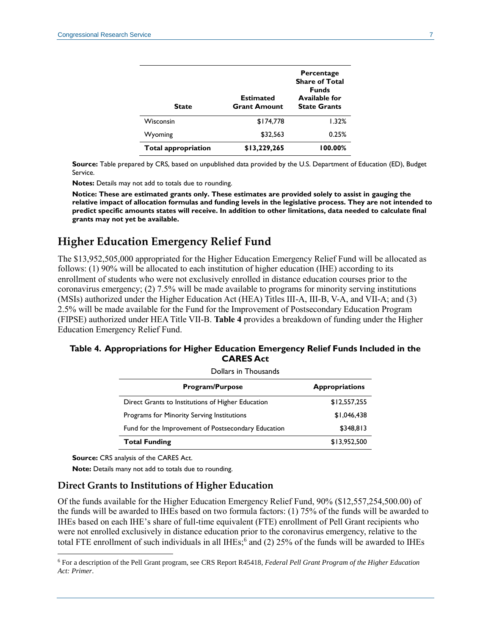| <b>State</b>               | <b>Estimated</b><br><b>Grant Amount</b> | Percentage<br><b>Share of Total</b><br><b>Funds</b><br><b>Available for</b><br><b>State Grants</b> |
|----------------------------|-----------------------------------------|----------------------------------------------------------------------------------------------------|
| Wisconsin                  | \$174.778                               | 1.32%                                                                                              |
| Wyoming                    | \$32,563                                | 0.25%                                                                                              |
| <b>Total appropriation</b> | \$13,229,265                            | 100.00%                                                                                            |

**Source:** Table prepared by CRS, based on unpublished data provided by the U.S. Department of Education (ED), Budget Service.

**Notes:** Details may not add to totals due to rounding.

**Notice: These are estimated grants only. These estimates are provided solely to assist in gauging the relative impact of allocation formulas and funding levels in the legislative process. They are not intended to predict specific amounts states will receive. In addition to other limitations, data needed to calculate final grants may not yet be available.**

## **Higher Education Emergency Relief Fund**

The \$13,952,505,000 appropriated for the Higher Education Emergency Relief Fund will be allocated as follows: (1) 90% will be allocated to each institution of higher education (IHE) according to its enrollment of students who were not exclusively enrolled in distance education courses prior to the coronavirus emergency; (2) 7.5% will be made available to programs for minority serving institutions (MSIs) authorized under the Higher Education Act (HEA) Titles III-A, III-B, V-A, and VII-A; and (3) 2.5% will be made available for the Fund for the Improvement of Postsecondary Education Program (FIPSE) authorized under HEA Title VII-B. **[Table 4](#page-6-0)** provides a breakdown of funding under the Higher Education Emergency Relief Fund.

<span id="page-6-0"></span>

| Table 4. Appropriations for Higher Education Emergency Relief Funds Included in the |  |
|-------------------------------------------------------------------------------------|--|
| <b>CARES Act</b>                                                                    |  |

| Dollars in Thousands                                |                       |  |
|-----------------------------------------------------|-----------------------|--|
| <b>Program/Purpose</b>                              | <b>Appropriations</b> |  |
| Direct Grants to Institutions of Higher Education   | \$12,557,255          |  |
| Programs for Minority Serving Institutions          | \$1,046,438           |  |
| Fund for the Improvement of Postsecondary Education | \$348.813             |  |
| <b>Total Funding</b>                                | \$13,952,500          |  |

**Source:** CRS analysis of the CARES Act.

 $\overline{a}$ 

**Note:** Details many not add to totals due to rounding.

#### **Direct Grants to Institutions of Higher Education**

Of the funds available for the Higher Education Emergency Relief Fund, 90% (\$12,557,254,500.00) of the funds will be awarded to IHEs based on two formula factors: (1) 75% of the funds will be awarded to IHEs based on each IHE's share of full-time equivalent (FTE) enrollment of Pell Grant recipients who were not enrolled exclusively in distance education prior to the coronavirus emergency, relative to the total FTE enrollment of such individuals in all IHEs;<sup>6</sup> and (2) 25% of the funds will be awarded to IHEs

<sup>6</sup> For a description of the Pell Grant program, see CRS Report R45418, *[Federal Pell Grant Program of the Higher Education](http://www.crs.gov/Reports/R45418)  [Act: Primer](http://www.crs.gov/Reports/R45418)*.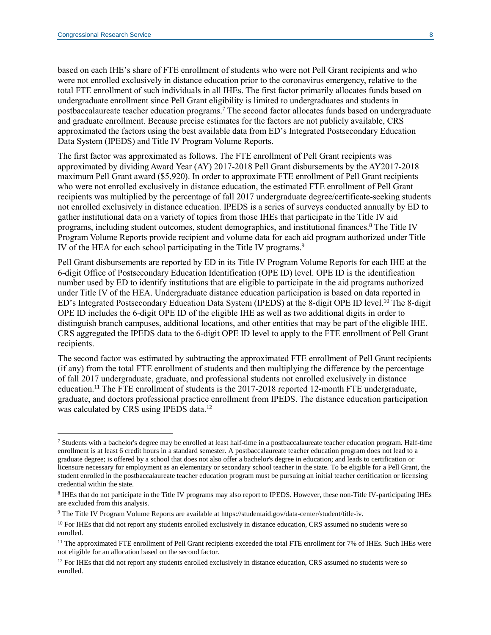based on each IHE's share of FTE enrollment of students who were not Pell Grant recipients and who were not enrolled exclusively in distance education prior to the coronavirus emergency, relative to the total FTE enrollment of such individuals in all IHEs. The first factor primarily allocates funds based on undergraduate enrollment since Pell Grant eligibility is limited to undergraduates and students in postbaccalaureate teacher education programs.<sup>7</sup> The second factor allocates funds based on undergraduate and graduate enrollment. Because precise estimates for the factors are not publicly available, CRS approximated the factors using the best available data from ED's Integrated Postsecondary Education Data System (IPEDS) and Title IV Program Volume Reports.

The first factor was approximated as follows. The FTE enrollment of Pell Grant recipients was approximated by dividing Award Year (AY) 2017-2018 Pell Grant disbursements by the AY2017-2018 maximum Pell Grant award (\$5,920). In order to approximate FTE enrollment of Pell Grant recipients who were not enrolled exclusively in distance education, the estimated FTE enrollment of Pell Grant recipients was multiplied by the percentage of fall 2017 undergraduate degree/certificate-seeking students not enrolled exclusively in distance education. IPEDS is a series of surveys conducted annually by ED to gather institutional data on a variety of topics from those IHEs that participate in the Title IV aid programs, including student outcomes, student demographics, and institutional finances.<sup>8</sup> The Title IV Program Volume Reports provide recipient and volume data for each aid program authorized under Title IV of the HEA for each school participating in the Title IV programs.<sup>9</sup>

Pell Grant disbursements are reported by ED in its Title IV Program Volume Reports for each IHE at the 6-digit Office of Postsecondary Education Identification (OPE ID) level. OPE ID is the identification number used by ED to identify institutions that are eligible to participate in the aid programs authorized under Title IV of the HEA. Undergraduate distance education participation is based on data reported in ED's Integrated Postsecondary Education Data System (IPEDS) at the 8-digit OPE ID level.<sup>10</sup> The 8-digit OPE ID includes the 6-digit OPE ID of the eligible IHE as well as two additional digits in order to distinguish branch campuses, additional locations, and other entities that may be part of the eligible IHE. CRS aggregated the IPEDS data to the 6-digit OPE ID level to apply to the FTE enrollment of Pell Grant recipients.

The second factor was estimated by subtracting the approximated FTE enrollment of Pell Grant recipients (if any) from the total FTE enrollment of students and then multiplying the difference by the percentage of fall 2017 undergraduate, graduate, and professional students not enrolled exclusively in distance education.<sup>11</sup> The FTE enrollment of students is the 2017-2018 reported 12-month FTE undergraduate, graduate, and doctors professional practice enrollment from IPEDS. The distance education participation was calculated by CRS using IPEDS data.<sup>12</sup>

 $7$  Students with a bachelor's degree may be enrolled at least half-time in a postbaccalaureate teacher education program. Half-time enrollment is at least 6 credit hours in a standard semester. A postbaccalaureate teacher education program does not lead to a graduate degree; is offered by a school that does not also offer a bachelor's degree in education; and leads to certification or licensure necessary for employment as an elementary or secondary school teacher in the state. To be eligible for a Pell Grant, the student enrolled in the postbaccalaureate teacher education program must be pursuing an initial teacher certification or licensing credential within the state.

<sup>&</sup>lt;sup>8</sup> IHEs that do not participate in the Title IV programs may also report to IPEDS. However, these non-Title IV-participating IHEs are excluded from this analysis.

<sup>9</sup> The Title IV Program Volume Reports are available at https://studentaid.gov/data-center/student/title-iv.

<sup>&</sup>lt;sup>10</sup> For IHEs that did not report any students enrolled exclusively in distance education, CRS assumed no students were so enrolled.

<sup>&</sup>lt;sup>11</sup> The approximated FTE enrollment of Pell Grant recipients exceeded the total FTE enrollment for 7% of IHEs. Such IHEs were not eligible for an allocation based on the second factor.

<sup>&</sup>lt;sup>12</sup> For IHEs that did not report any students enrolled exclusively in distance education, CRS assumed no students were so enrolled.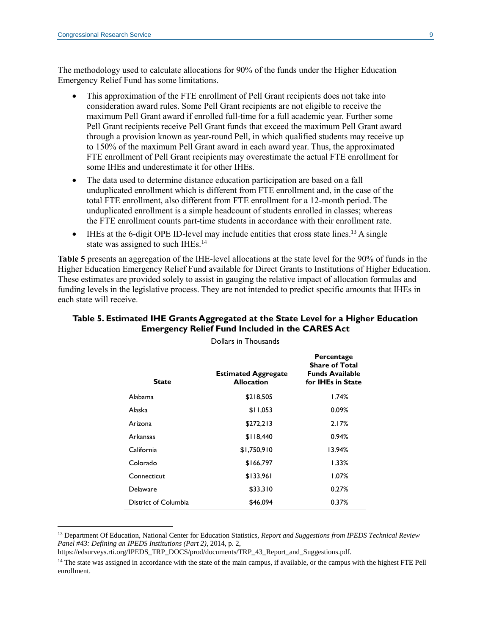The methodology used to calculate allocations for 90% of the funds under the Higher Education Emergency Relief Fund has some limitations.

- This approximation of the FTE enrollment of Pell Grant recipients does not take into consideration award rules. Some Pell Grant recipients are not eligible to receive the maximum Pell Grant award if enrolled full-time for a full academic year. Further some Pell Grant recipients receive Pell Grant funds that exceed the maximum Pell Grant award through a provision known as year-round Pell, in which qualified students may receive up to 150% of the maximum Pell Grant award in each award year. Thus, the approximated FTE enrollment of Pell Grant recipients may overestimate the actual FTE enrollment for some IHEs and underestimate it for other IHEs.
- The data used to determine distance education participation are based on a fall unduplicated enrollment which is different from FTE enrollment and, in the case of the total FTE enrollment, also different from FTE enrollment for a 12-month period. The unduplicated enrollment is a simple headcount of students enrolled in classes; whereas the FTE enrollment counts part-time students in accordance with their enrollment rate.
- $\bullet$  IHEs at the 6-digit OPE ID-level may include entities that cross state lines.<sup>13</sup> A single state was assigned to such IHEs.<sup>14</sup>

**Table 5** presents an aggregation of the IHE-level allocations at the state level for the 90% of funds in the Higher Education Emergency Relief Fund available for Direct Grants to Institutions of Higher Education. These estimates are provided solely to assist in gauging the relative impact of allocation formulas and funding levels in the legislative process. They are not intended to predict specific amounts that IHEs in each state will receive.

| PUITAI S III THUUSAHUS |                                                 |                                                                                    |  |
|------------------------|-------------------------------------------------|------------------------------------------------------------------------------------|--|
| <b>State</b>           | <b>Estimated Aggregate</b><br><b>Allocation</b> | Percentage<br><b>Share of Total</b><br><b>Funds Available</b><br>for IHEs in State |  |
| Alabama                | \$218,505                                       | 1.74%                                                                              |  |
| Alaska                 | \$11,053                                        | 0.09%                                                                              |  |
| Arizona                | \$272,213                                       | 2.17%                                                                              |  |
| Arkansas               | \$118,440                                       | 0.94%                                                                              |  |
| California             | \$1,750,910                                     | 13.94%                                                                             |  |
| Colorado               | \$166,797                                       | 1.33%                                                                              |  |
| Connecticut            | \$133,961                                       | 1.07%                                                                              |  |
| Delaware               | \$33,310                                        | 0.27%                                                                              |  |
| District of Columbia   | \$46,094                                        | 0.37%                                                                              |  |

#### **Table 5. Estimated IHE Grants Aggregated at the State Level for a Higher Education Emergency Relief Fund Included in the CARES Act**

Dollars in Thousands

<sup>13</sup> Department Of Education, National Center for Education Statistics, *Report and Suggestions from IPEDS Technical Review Panel #43: Defining an IPEDS Institutions (Part 2)*, 2014, p. 2,

https://edsurveys.rti.org/IPEDS\_TRP\_DOCS/prod/documents/TRP\_43\_Report\_and\_Suggestions.pdf.

<sup>&</sup>lt;sup>14</sup> The state was assigned in accordance with the state of the main campus, if available, or the campus with the highest FTE Pell enrollment.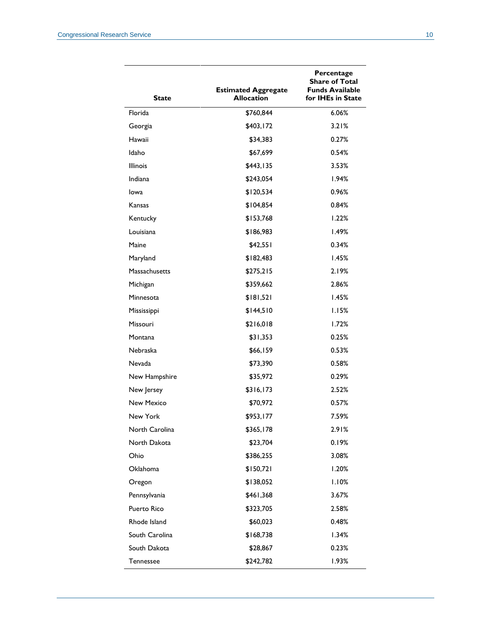| <b>State</b>      | <b>Estimated Aggregate</b><br><b>Allocation</b> | Percentage<br><b>Share of Total</b><br><b>Funds Available</b><br>for IHEs in State |
|-------------------|-------------------------------------------------|------------------------------------------------------------------------------------|
| Florida           | \$760,844                                       | 6.06%                                                                              |
| Georgia           | \$403,172                                       | 3.21%                                                                              |
| Hawaii            | \$34,383                                        | 0.27%                                                                              |
| Idaho             | \$67,699                                        | 0.54%                                                                              |
| <b>Illinois</b>   | \$443,135                                       | 3.53%                                                                              |
| Indiana           | \$243,054                                       | 1.94%                                                                              |
| Iowa              | \$120,534                                       | 0.96%                                                                              |
| Kansas            | \$104,854                                       | 0.84%                                                                              |
| Kentucky          | \$153,768                                       | 1.22%                                                                              |
| Louisiana         | \$186,983                                       | 1.49%                                                                              |
| Maine             | \$42,551                                        | 0.34%                                                                              |
| Maryland          | \$182,483                                       | 1.45%                                                                              |
| Massachusetts     | \$275,215                                       | 2.19%                                                                              |
| Michigan          | \$359,662                                       | 2.86%                                                                              |
| Minnesota         | \$181,521                                       | 1.45%                                                                              |
| Mississippi       | \$144,510                                       | 1.15%                                                                              |
| Missouri          | \$216,018                                       | 1.72%                                                                              |
| Montana           | \$31,353                                        | 0.25%                                                                              |
| Nebraska          | \$66,159                                        | 0.53%                                                                              |
| <b>Nevada</b>     | \$73,390                                        | 0.58%                                                                              |
| New Hampshire     | \$35,972                                        | 0.29%                                                                              |
| New Jersey        | \$316,173                                       | 2.52%                                                                              |
| <b>New Mexico</b> | \$70,972                                        | 0.57%                                                                              |
| New York          | \$953,177                                       | 7.59%                                                                              |
| North Carolina    | \$365,178                                       | 2.91%                                                                              |
| North Dakota      | \$23,704                                        | 0.19%                                                                              |
| Ohio              | \$386,255                                       | 3.08%                                                                              |
| Oklahoma          | \$150,721                                       | 1.20%                                                                              |
| Oregon            | \$138,052                                       | 1.10%                                                                              |
| Pennsylvania      | \$461,368                                       | 3.67%                                                                              |
| Puerto Rico       | \$323,705                                       | 2.58%                                                                              |
| Rhode Island      | \$60,023                                        | 0.48%                                                                              |
| South Carolina    | \$168,738                                       | 1.34%                                                                              |
| South Dakota      | \$28,867                                        | 0.23%                                                                              |
| Tennessee         | \$242,782                                       | 1.93%                                                                              |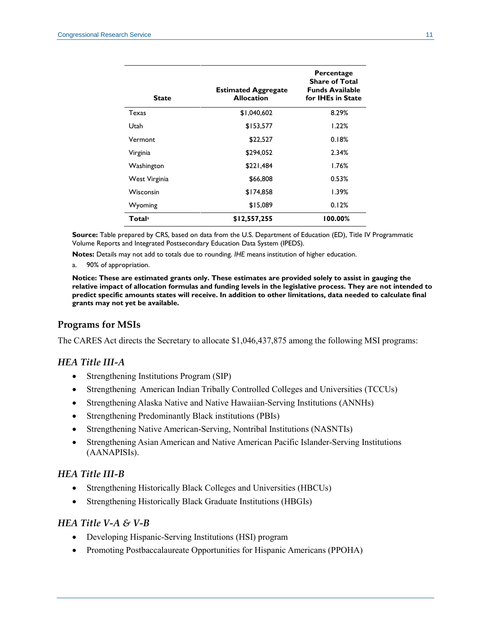| <b>State</b>              | <b>Estimated Aggregate</b><br><b>Allocation</b> | Percentage<br><b>Share of Total</b><br><b>Funds Available</b><br>for IHEs in State |
|---------------------------|-------------------------------------------------|------------------------------------------------------------------------------------|
| Texas                     | \$1,040,602                                     | 8.29%                                                                              |
| Utah                      | \$153,577                                       | 1.22%                                                                              |
| Vermont                   | \$22,527                                        | 0.18%                                                                              |
| Virginia                  | \$294,052                                       | 2.34%                                                                              |
| Washington                | \$221,484                                       | 1.76%                                                                              |
| West Virginia             | \$66,808                                        | 0.53%                                                                              |
| Wisconsin                 | \$174.858                                       | 1.39%                                                                              |
| Wyoming                   | \$15,089                                        | 0.12%                                                                              |
| <b>Total</b> <sup>a</sup> | \$12,557,255                                    | 100.00%                                                                            |

**Source:** Table prepared by CRS, based on data from the U.S. Department of Education (ED), Title IV Programmatic Volume Reports and Integrated Postsecondary Education Data System (IPEDS).

**Notes:** Details may not add to totals due to rounding. *IHE* means institution of higher education.

<span id="page-10-0"></span>a. 90% of appropriation.

**Notice: These are estimated grants only. These estimates are provided solely to assist in gauging the relative impact of allocation formulas and funding levels in the legislative process. They are not intended to predict specific amounts states will receive. In addition to other limitations, data needed to calculate final grants may not yet be available.**

#### **Programs for MSIs**

The CARES Act directs the Secretary to allocate \$1,046,437,875 among the following MSI programs:

#### *HEA Title III-A*

- Strengthening Institutions Program (SIP)
- Strengthening American Indian Tribally Controlled Colleges and Universities (TCCUs)
- Strengthening Alaska Native and Native Hawaiian-Serving Institutions (ANNHs)
- Strengthening Predominantly Black institutions (PBIs)
- Strengthening Native American-Serving, Nontribal Institutions (NASNTIs)
- Strengthening Asian American and Native American Pacific Islander-Serving Institutions (AANAPISIs).

#### *HEA Title III-B*

- Strengthening Historically Black Colleges and Universities (HBCUs)
- Strengthening Historically Black Graduate Institutions (HBGIs)

#### *HEA Title V-A & V-B*

- Developing Hispanic-Serving Institutions (HSI) program
- Promoting Postbaccalaureate Opportunities for Hispanic Americans (PPOHA)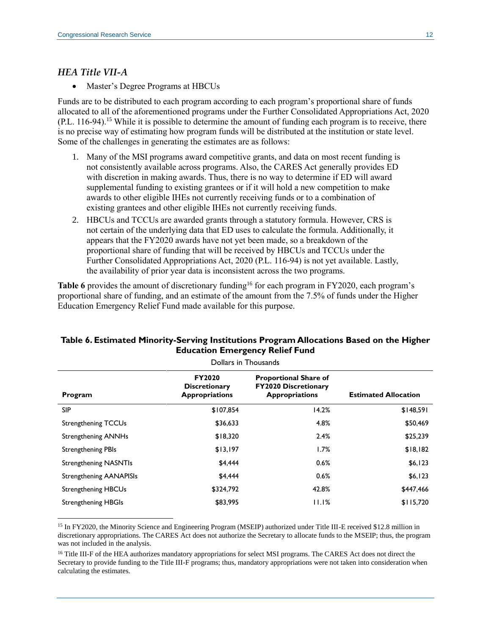#### *HEA Title VII-A*

 $\overline{a}$ 

• Master's Degree Programs at HBCUs

Funds are to be distributed to each program according to each program's proportional share of funds allocated to all of the aforementioned programs under the Further Consolidated Appropriations Act, 2020 [\(P.L. 116-94\)](http://www.congress.gov/cgi-lis/bdquery/R?d116:FLD002:@1(116+94)).<sup>15</sup> While it is possible to determine the amount of funding each program is to receive, there is no precise way of estimating how program funds will be distributed at the institution or state level. Some of the challenges in generating the estimates are as follows:

- 1. Many of the MSI programs award competitive grants, and data on most recent funding is not consistently available across programs. Also, the CARES Act generally provides ED with discretion in making awards. Thus, there is no way to determine if ED will award supplemental funding to existing grantees or if it will hold a new competition to make awards to other eligible IHEs not currently receiving funds or to a combination of existing grantees and other eligible IHEs not currently receiving funds.
- 2. HBCUs and TCCUs are awarded grants through a statutory formula. However, CRS is not certain of the underlying data that ED uses to calculate the formula. Additionally, it appears that the FY2020 awards have not yet been made, so a breakdown of the proportional share of funding that will be received by HBCUs and TCCUs under the Further Consolidated Appropriations Act, 2020 [\(P.L. 116-94\)](http://www.congress.gov/cgi-lis/bdquery/R?d116:FLD002:@1(116+94)) is not yet available. Lastly, the availability of prior year data is inconsistent across the two programs.

**[Table 6](#page-11-0)** provides the amount of discretionary funding<sup>16</sup> for each program in FY2020, each program's proportional share of funding, and an estimate of the amount from the 7.5% of funds under the Higher Education Emergency Relief Fund made available for this purpose.

| Dollars in Thousands           |                                                                |                                                                                      |                             |
|--------------------------------|----------------------------------------------------------------|--------------------------------------------------------------------------------------|-----------------------------|
| Program                        | <b>FY2020</b><br><b>Discretionary</b><br><b>Appropriations</b> | <b>Proportional Share of</b><br><b>FY2020 Discretionary</b><br><b>Appropriations</b> | <b>Estimated Allocation</b> |
| <b>SIP</b>                     | \$107,854                                                      | 14.2%                                                                                | \$148,591                   |
| <b>Strengthening TCCUs</b>     | \$36,633                                                       | 4.8%                                                                                 | \$50,469                    |
| <b>Strengthening ANNHs</b>     | \$18,320                                                       | 2.4%                                                                                 | \$25,239                    |
| <b>Strengthening PBIs</b>      | \$13,197                                                       | 1.7%                                                                                 | \$18,182                    |
| <b>Strengthening NASNTIs</b>   | \$4,444                                                        | 0.6%                                                                                 | \$6,123                     |
| <b>Strengthening AANAPISIs</b> | \$4,444                                                        | 0.6%                                                                                 | \$6,123                     |
| <b>Strengthening HBCUs</b>     | \$324,792                                                      | 42.8%                                                                                | \$447,466                   |
| <b>Strengthening HBGIs</b>     | \$83,995                                                       | 11.1%                                                                                | \$115,720                   |

#### <span id="page-11-0"></span>**Table 6. Estimated Minority-Serving Institutions Program Allocations Based on the Higher Education Emergency Relief Fund**

<sup>15</sup> In FY2020, the Minority Science and Engineering Program (MSEIP) authorized under Title III-E received \$12.8 million in discretionary appropriations. The CARES Act does not authorize the Secretary to allocate funds to the MSEIP; thus, the program was not included in the analysis.

<sup>16</sup> Title III-F of the HEA authorizes mandatory appropriations for select MSI programs. The CARES Act does not direct the Secretary to provide funding to the Title III-F programs; thus, mandatory appropriations were not taken into consideration when calculating the estimates.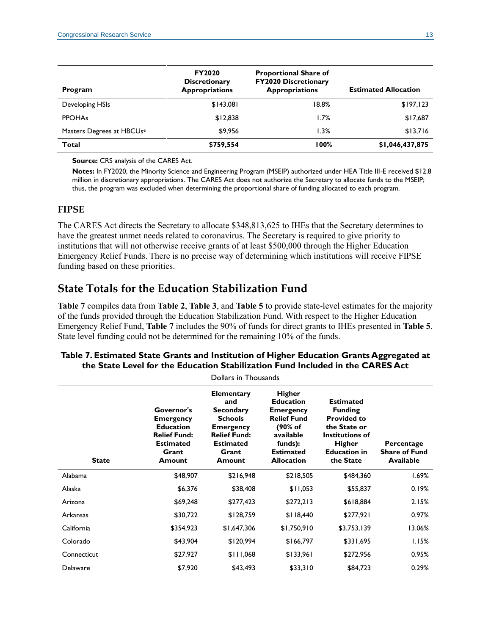| Program                   | <b>FY2020</b><br><b>Discretionary</b><br><b>Appropriations</b> | <b>Proportional Share of</b><br><b>FY2020 Discretionary</b><br><b>Appropriations</b> | <b>Estimated Allocation</b> |
|---------------------------|----------------------------------------------------------------|--------------------------------------------------------------------------------------|-----------------------------|
| Developing HSIs           | \$143,081                                                      | 18.8%                                                                                | \$197,123                   |
| <b>PPOHAs</b>             | \$12,838                                                       | 1.7%                                                                                 | \$17,687                    |
| Masters Degrees at HBCUse | \$9.956                                                        | 1.3%                                                                                 | \$13,716                    |
| <b>Total</b>              | \$759,554                                                      | 100%                                                                                 | \$1,046,437,875             |

**Source:** CRS analysis of the CARES Act.

**Notes:** In FY2020, the Minority Science and Engineering Program (MSEIP) authorized under HEA Title III-E received \$12.8 million in discretionary appropriations. The CARES Act does not authorize the Secretary to allocate funds to the MSEIP; thus, the program was excluded when determining the proportional share of funding allocated to each program.

#### **FIPSE**

The CARES Act directs the Secretary to allocate \$348,813,625 to IHEs that the Secretary determines to have the greatest unmet needs related to coronavirus. The Secretary is required to give priority to institutions that will not otherwise receive grants of at least \$500,000 through the Higher Education Emergency Relief Funds. There is no precise way of determining which institutions will receive FIPSE funding based on these priorities.

### **State Totals for the Education Stabilization Fund**

**Table 7** compiles data from **Table 2**, **Table 3**, and **Table 5** to provide state-level estimates for the majority of the funds provided through the Education Stabilization Fund. With respect to the Higher Education Emergency Relief Fund, **Table 7** includes the 90% of funds for direct grants to IHEs presented in **Table 5**. State level funding could not be determined for the remaining 10% of the funds.

| Dollars in Thousands |                                                                                                                  |                                                                                                                                                  |                                                                                                                                                         |                                                                                                                                                         |                                                        |
|----------------------|------------------------------------------------------------------------------------------------------------------|--------------------------------------------------------------------------------------------------------------------------------------------------|---------------------------------------------------------------------------------------------------------------------------------------------------------|---------------------------------------------------------------------------------------------------------------------------------------------------------|--------------------------------------------------------|
| <b>State</b>         | Governor's<br><b>Emergency</b><br><b>Education</b><br><b>Relief Fund:</b><br><b>Estimated</b><br>Grant<br>Amount | <b>Elementary</b><br>and<br><b>Secondary</b><br><b>Schools</b><br><b>Emergency</b><br><b>Relief Fund:</b><br><b>Estimated</b><br>Grant<br>Amount | <b>Higher</b><br><b>Education</b><br><b>Emergency</b><br><b>Relief Fund</b><br>(90% of<br>available<br>funds):<br><b>Estimated</b><br><b>Allocation</b> | <b>Estimated</b><br><b>Funding</b><br><b>Provided to</b><br>the State or<br><b>Institutions of</b><br><b>Higher</b><br><b>Education in</b><br>the State | Percentage<br><b>Share of Fund</b><br><b>Available</b> |
| Alabama              | \$48,907                                                                                                         | \$216,948                                                                                                                                        | \$218,505                                                                                                                                               | \$484,360                                                                                                                                               | 1.69%                                                  |
| Alaska               | \$6,376                                                                                                          | \$38,408                                                                                                                                         | \$11,053                                                                                                                                                | \$55,837                                                                                                                                                | 0.19%                                                  |
| Arizona              | \$69,248                                                                                                         | \$277,423                                                                                                                                        | \$272,213                                                                                                                                               | \$618,884                                                                                                                                               | 2.15%                                                  |
| Arkansas             | \$30,722                                                                                                         | \$128,759                                                                                                                                        | \$118,440                                                                                                                                               | \$277,921                                                                                                                                               | 0.97%                                                  |
| California           | \$354,923                                                                                                        | \$1,647,306                                                                                                                                      | \$1,750,910                                                                                                                                             | \$3,753,139                                                                                                                                             | 13.06%                                                 |
| Colorado             | \$43,904                                                                                                         | \$120,994                                                                                                                                        | \$166,797                                                                                                                                               | \$331,695                                                                                                                                               | 1.15%                                                  |
| Connecticut          | \$27,927                                                                                                         | \$111,068                                                                                                                                        | \$133,961                                                                                                                                               | \$272,956                                                                                                                                               | 0.95%                                                  |
| Delaware             | \$7,920                                                                                                          | \$43,493                                                                                                                                         | \$33,310                                                                                                                                                | \$84,723                                                                                                                                                | 0.29%                                                  |

#### **Table 7. Estimated State Grants and Institution of Higher Education Grants Aggregated at the State Level for the Education Stabilization Fund Included in the CARES Act**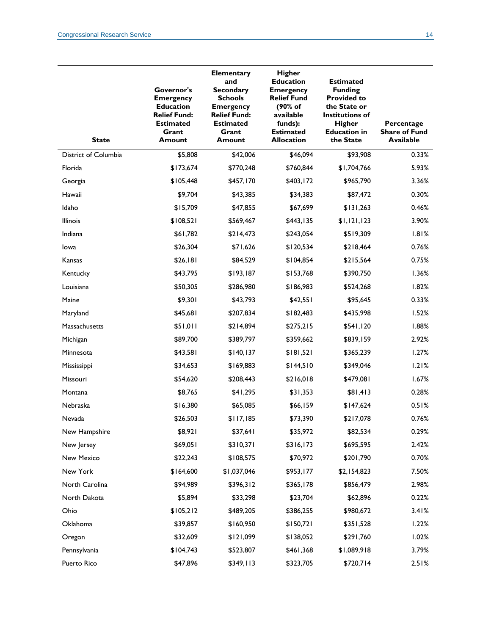| <b>State</b>         | Governor's<br><b>Emergency</b><br><b>Education</b><br><b>Relief Fund:</b><br><b>Estimated</b><br>Grant<br><b>Amount</b> | <b>Elementary</b><br>and<br><b>Secondary</b><br><b>Schools</b><br><b>Emergency</b><br><b>Relief Fund:</b><br><b>Estimated</b><br>Grant<br><b>Amount</b> | <b>Higher</b><br><b>Education</b><br><b>Emergency</b><br><b>Relief Fund</b><br>(90% of<br>available<br>funds):<br><b>Estimated</b><br><b>Allocation</b> | <b>Estimated</b><br><b>Funding</b><br><b>Provided to</b><br>the State or<br><b>Institutions of</b><br><b>Higher</b><br><b>Education in</b><br>the State | Percentage<br><b>Share of Fund</b><br><b>Available</b> |
|----------------------|-------------------------------------------------------------------------------------------------------------------------|---------------------------------------------------------------------------------------------------------------------------------------------------------|---------------------------------------------------------------------------------------------------------------------------------------------------------|---------------------------------------------------------------------------------------------------------------------------------------------------------|--------------------------------------------------------|
| District of Columbia | \$5,808                                                                                                                 | \$42,006                                                                                                                                                | \$46,094                                                                                                                                                | \$93,908                                                                                                                                                | 0.33%                                                  |
| Florida              | \$173,674                                                                                                               | \$770,248                                                                                                                                               | \$760,844                                                                                                                                               | \$1,704,766                                                                                                                                             | 5.93%                                                  |
| Georgia              | \$105,448                                                                                                               | \$457,170                                                                                                                                               | \$403,172                                                                                                                                               | \$965,790                                                                                                                                               | 3.36%                                                  |
| Hawaii               | \$9,704                                                                                                                 | \$43,385                                                                                                                                                | \$34,383                                                                                                                                                | \$87,472                                                                                                                                                | 0.30%                                                  |
| Idaho                | \$15,709                                                                                                                | \$47,855                                                                                                                                                | \$67,699                                                                                                                                                | \$131,263                                                                                                                                               | 0.46%                                                  |
| <b>Illinois</b>      | \$108,521                                                                                                               | \$569,467                                                                                                                                               | \$443,135                                                                                                                                               | \$1,121,123                                                                                                                                             | 3.90%                                                  |
| Indiana              | \$61,782                                                                                                                | \$214,473                                                                                                                                               | \$243,054                                                                                                                                               | \$519,309                                                                                                                                               | 1.81%                                                  |
| lowa                 | \$26,304                                                                                                                | \$71,626                                                                                                                                                | \$120,534                                                                                                                                               | \$218,464                                                                                                                                               | 0.76%                                                  |
| Kansas               | \$26,181                                                                                                                | \$84,529                                                                                                                                                | \$104,854                                                                                                                                               | \$215,564                                                                                                                                               | 0.75%                                                  |
| Kentucky             | \$43,795                                                                                                                | \$193,187                                                                                                                                               | \$153,768                                                                                                                                               | \$390,750                                                                                                                                               | 1.36%                                                  |
| Louisiana            | \$50,305                                                                                                                | \$286,980                                                                                                                                               | \$186,983                                                                                                                                               | \$524,268                                                                                                                                               | 1.82%                                                  |
| Maine                | \$9,301                                                                                                                 | \$43,793                                                                                                                                                | \$42,551                                                                                                                                                | \$95,645                                                                                                                                                | 0.33%                                                  |
| Maryland             | \$45,681                                                                                                                | \$207,834                                                                                                                                               | \$182,483                                                                                                                                               | \$435,998                                                                                                                                               | 1.52%                                                  |
| Massachusetts        | \$51,011                                                                                                                | \$214,894                                                                                                                                               | \$275,215                                                                                                                                               | \$541,120                                                                                                                                               | 1.88%                                                  |
| Michigan             | \$89,700                                                                                                                | \$389,797                                                                                                                                               | \$359,662                                                                                                                                               | \$839,159                                                                                                                                               | 2.92%                                                  |
| Minnesota            | \$43,581                                                                                                                | \$140, 137                                                                                                                                              | \$181,521                                                                                                                                               | \$365,239                                                                                                                                               | 1.27%                                                  |
| Mississippi          | \$34,653                                                                                                                | \$169,883                                                                                                                                               | \$144,510                                                                                                                                               | \$349,046                                                                                                                                               | 1.21%                                                  |
| Missouri             | \$54,620                                                                                                                | \$208,443                                                                                                                                               | \$216,018                                                                                                                                               | \$479,081                                                                                                                                               | 1.67%                                                  |
| Montana              | \$8,765                                                                                                                 | \$41,295                                                                                                                                                | \$31,353                                                                                                                                                | \$81,413                                                                                                                                                | 0.28%                                                  |
| Nebraska             | \$16,380                                                                                                                | \$65,085                                                                                                                                                | \$66,159                                                                                                                                                | \$147,624                                                                                                                                               | 0.51%                                                  |
| Nevada               | \$26,503                                                                                                                | \$117,185                                                                                                                                               | \$73,390                                                                                                                                                | \$217,078                                                                                                                                               | 0.76%                                                  |
| New Hampshire        | \$8,921                                                                                                                 | \$37,641                                                                                                                                                | \$35,972                                                                                                                                                | \$82,534                                                                                                                                                | 0.29%                                                  |
| New Jersey           | \$69,051                                                                                                                | \$310,371                                                                                                                                               | \$316,173                                                                                                                                               | \$695,595                                                                                                                                               | 2.42%                                                  |
| New Mexico           | \$22,243                                                                                                                | \$108,575                                                                                                                                               | \$70,972                                                                                                                                                | \$201,790                                                                                                                                               | 0.70%                                                  |
| New York             | \$164,600                                                                                                               | \$1,037,046                                                                                                                                             | \$953,177                                                                                                                                               | \$2,154,823                                                                                                                                             | 7.50%                                                  |
| North Carolina       | \$94,989                                                                                                                | \$396,312                                                                                                                                               | \$365,178                                                                                                                                               | \$856,479                                                                                                                                               | 2.98%                                                  |
| North Dakota         | \$5,894                                                                                                                 | \$33,298                                                                                                                                                | \$23,704                                                                                                                                                | \$62,896                                                                                                                                                | 0.22%                                                  |
| Ohio                 | \$105,212                                                                                                               | \$489,205                                                                                                                                               | \$386,255                                                                                                                                               | \$980,672                                                                                                                                               | 3.41%                                                  |
| Oklahoma             | \$39,857                                                                                                                | \$160,950                                                                                                                                               | \$150,721                                                                                                                                               | \$351,528                                                                                                                                               | 1.22%                                                  |
| Oregon               | \$32,609                                                                                                                | \$121,099                                                                                                                                               | \$138,052                                                                                                                                               | \$291,760                                                                                                                                               | 1.02%                                                  |
| Pennsylvania         | \$104,743                                                                                                               | \$523,807                                                                                                                                               | \$461,368                                                                                                                                               | \$1,089,918                                                                                                                                             | 3.79%                                                  |
| Puerto Rico          | \$47,896                                                                                                                | \$349,113                                                                                                                                               | \$323,705                                                                                                                                               | \$720,714                                                                                                                                               | $2.51\%$                                               |